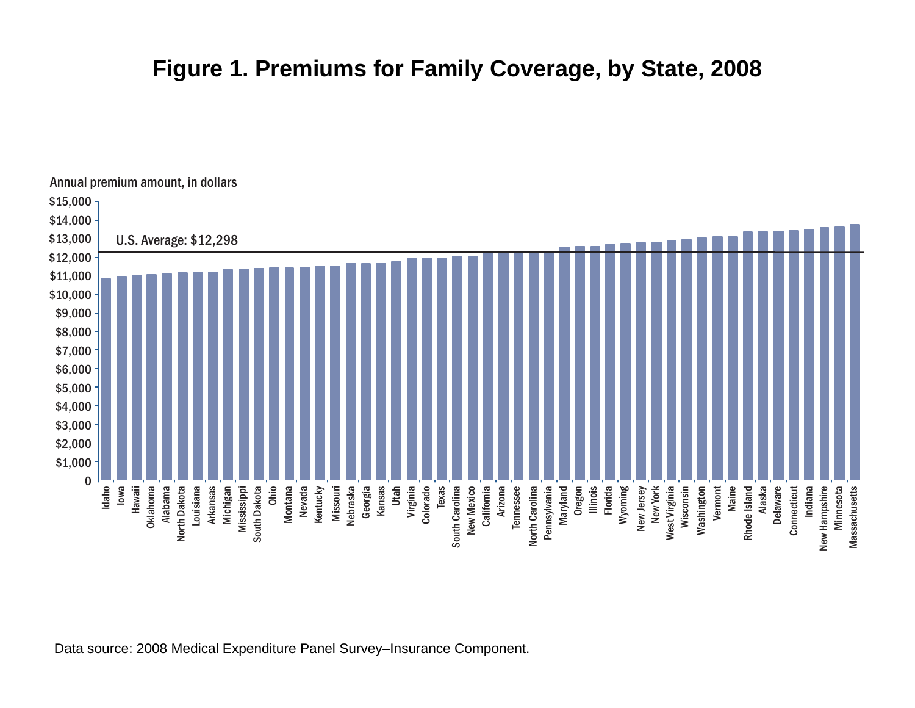## **Figure 1. Premiums for Family Coverage, by State, 2008**



Data source: 2008 Medical Expenditure Panel Survey–Insurance Component.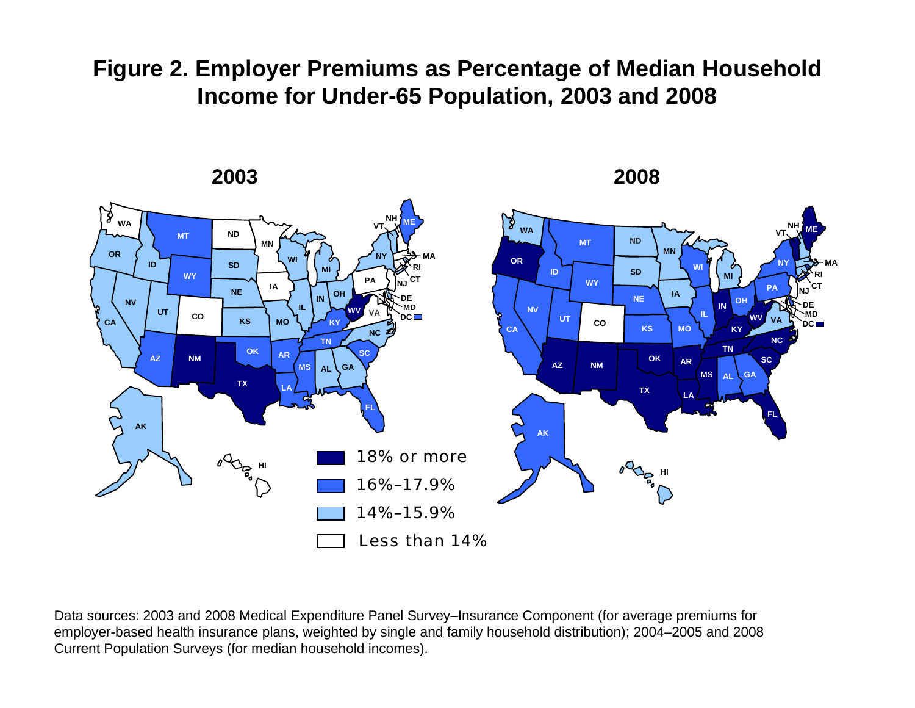## **Figure 2. Employer Premiums as Percentage of Median Household Income for Under-65 Population, 2003 and 2008**



Data sources: 2003 and 2008 Medical Expenditure Panel Survey–Insurance Component (for average premiums for employer-based health insurance plans, weighted by single and family household distribution); 2004–2005 and 2008 Current Population Surveys (for median household incomes).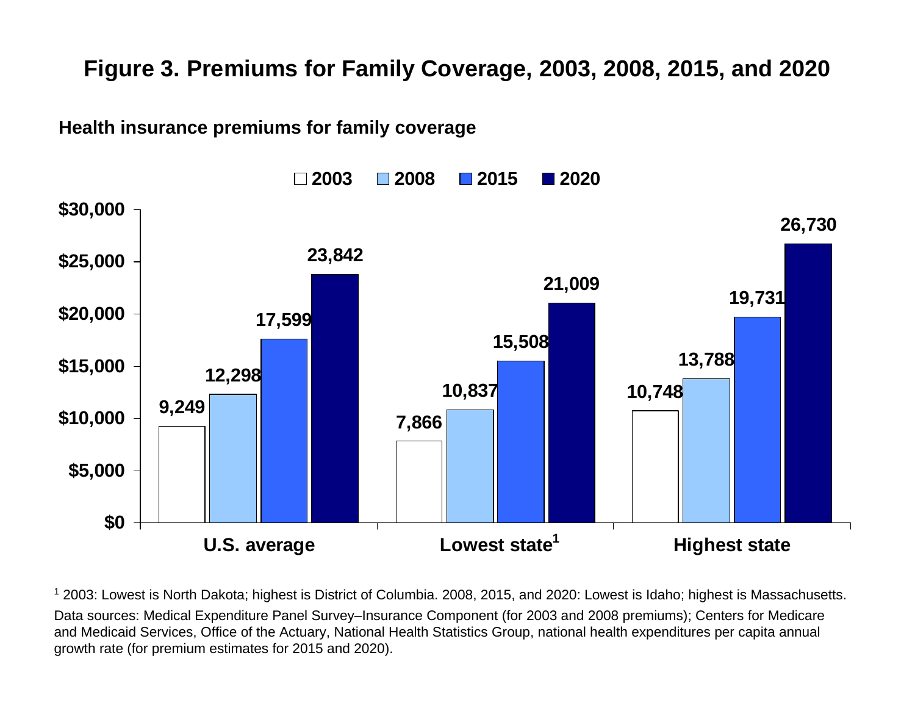## **Figure 3. Premiums for Family Coverage, 2003, 2008, 2015, and 2020**

**Health insurance premiums for family coverage**



1 2003: Lowest is North Dakota; highest is District of Columbia. 2008, 2015, and 2020: Lowest is Idaho; highest is Massachusetts. Data sources: Medical Expenditure Panel Survey–Insurance Component (for 2003 and 2008 premiums); Centers for Medicare and Medicaid Services, Office of the Actuary, National Health Statistics Group, national health expenditures per capita annual growth rate (for premium estimates for 2015 and 2020).